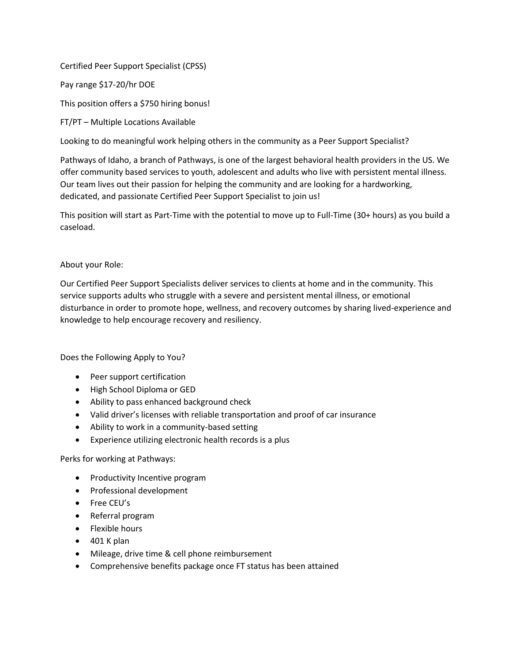## Certified Peer Support Specialist (CPSS)

Pay range \$17-20/hr DOE

This position offers a \$750 hiring bonus!

FT/PT – Multiple Locations Available

Looking to do meaningful work helping others in the community as a Peer Support Specialist?

Pathways of Idaho, a branch of Pathways, is one of the largest behavioral health providers in the US. We offer community based services to youth, adolescent and adults who live with persistent mental illness. Our team lives out their passion for helping the community and are looking for a hardworking, dedicated, and passionate Certified Peer Support Specialist to join us!

This position will start as Part-Time with the potential to move up to Full-Time (30+ hours) as you build a caseload.

## About your Role:

Our Certified Peer Support Specialists deliver services to clients at home and in the community. This service supports adults who struggle with a severe and persistent mental illness, or emotional disturbance in order to promote hope, wellness, and recovery outcomes by sharing lived-experience and knowledge to help encourage recovery and resiliency.

Does the Following Apply to You?

- Peer support certification
- High School Diploma or GED
- Ability to pass enhanced background check
- Valid driver's licenses with reliable transportation and proof of car insurance
- Ability to work in a community-based setting
- Experience utilizing electronic health records is a plus

## Perks for working at Pathways:

- Productivity Incentive program
- Professional development
- Free CEU's
- Referral program
- Flexible hours
- $\bullet$  401 K plan
- Mileage, drive time & cell phone reimbursement
- Comprehensive benefits package once FT status has been attained